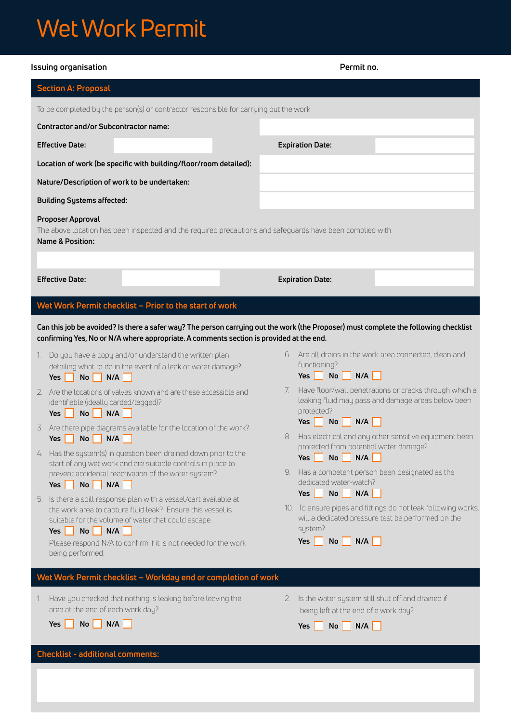# Wet Work Permit

| Issuing organisation                                                                                                                                                                                                                                                                                                                                                                                                                                                                                                                                                                                                                                                                                                                                                                                                                                                                                           | Permit no.                                                                                                                                                                                                                                                                                                                                                                                                                                                                                                                                                                                                                                                                                                                              |  |  |
|----------------------------------------------------------------------------------------------------------------------------------------------------------------------------------------------------------------------------------------------------------------------------------------------------------------------------------------------------------------------------------------------------------------------------------------------------------------------------------------------------------------------------------------------------------------------------------------------------------------------------------------------------------------------------------------------------------------------------------------------------------------------------------------------------------------------------------------------------------------------------------------------------------------|-----------------------------------------------------------------------------------------------------------------------------------------------------------------------------------------------------------------------------------------------------------------------------------------------------------------------------------------------------------------------------------------------------------------------------------------------------------------------------------------------------------------------------------------------------------------------------------------------------------------------------------------------------------------------------------------------------------------------------------------|--|--|
| <b>Section A: Proposal</b>                                                                                                                                                                                                                                                                                                                                                                                                                                                                                                                                                                                                                                                                                                                                                                                                                                                                                     |                                                                                                                                                                                                                                                                                                                                                                                                                                                                                                                                                                                                                                                                                                                                         |  |  |
| To be completed by the person(s) or contractor responsible for carrying out the work                                                                                                                                                                                                                                                                                                                                                                                                                                                                                                                                                                                                                                                                                                                                                                                                                           |                                                                                                                                                                                                                                                                                                                                                                                                                                                                                                                                                                                                                                                                                                                                         |  |  |
| <b>Contractor and/or Subcontractor name:</b>                                                                                                                                                                                                                                                                                                                                                                                                                                                                                                                                                                                                                                                                                                                                                                                                                                                                   |                                                                                                                                                                                                                                                                                                                                                                                                                                                                                                                                                                                                                                                                                                                                         |  |  |
| <b>Effective Date:</b>                                                                                                                                                                                                                                                                                                                                                                                                                                                                                                                                                                                                                                                                                                                                                                                                                                                                                         | <b>Expiration Date:</b>                                                                                                                                                                                                                                                                                                                                                                                                                                                                                                                                                                                                                                                                                                                 |  |  |
| Location of work (be specific with building/floor/room detailed):                                                                                                                                                                                                                                                                                                                                                                                                                                                                                                                                                                                                                                                                                                                                                                                                                                              |                                                                                                                                                                                                                                                                                                                                                                                                                                                                                                                                                                                                                                                                                                                                         |  |  |
| Nature/Description of work to be undertaken:                                                                                                                                                                                                                                                                                                                                                                                                                                                                                                                                                                                                                                                                                                                                                                                                                                                                   |                                                                                                                                                                                                                                                                                                                                                                                                                                                                                                                                                                                                                                                                                                                                         |  |  |
| <b>Building Systems affected:</b>                                                                                                                                                                                                                                                                                                                                                                                                                                                                                                                                                                                                                                                                                                                                                                                                                                                                              |                                                                                                                                                                                                                                                                                                                                                                                                                                                                                                                                                                                                                                                                                                                                         |  |  |
| Proposer Approval<br>The above location has been inspected and the required precautions and safeguards have been complied with.<br><b>Name &amp; Position:</b>                                                                                                                                                                                                                                                                                                                                                                                                                                                                                                                                                                                                                                                                                                                                                 |                                                                                                                                                                                                                                                                                                                                                                                                                                                                                                                                                                                                                                                                                                                                         |  |  |
| <b>Effective Date:</b>                                                                                                                                                                                                                                                                                                                                                                                                                                                                                                                                                                                                                                                                                                                                                                                                                                                                                         | <b>Expiration Date:</b>                                                                                                                                                                                                                                                                                                                                                                                                                                                                                                                                                                                                                                                                                                                 |  |  |
| Wet Work Permit checklist - Prior to the start of work                                                                                                                                                                                                                                                                                                                                                                                                                                                                                                                                                                                                                                                                                                                                                                                                                                                         |                                                                                                                                                                                                                                                                                                                                                                                                                                                                                                                                                                                                                                                                                                                                         |  |  |
| Can this job be avoided? Is there a safer way? The person carrying out the work (the Proposer) must complete the following checklist<br>confirming Yes, No or N/A where appropriate. A comments section is provided at the end.                                                                                                                                                                                                                                                                                                                                                                                                                                                                                                                                                                                                                                                                                |                                                                                                                                                                                                                                                                                                                                                                                                                                                                                                                                                                                                                                                                                                                                         |  |  |
| Do you have a copy and/or understand the written plan<br>1.<br>detailing what to do in the event of a leak or water damage?<br><b>No</b><br>N/A<br>Yes<br>2. Are the locations of valves known and are these accessible and<br>identifiable (ideally carded/tagged)?<br>$No$ N/A<br>Yes $ $<br>3. Are there pipe diagrams available for the location of the work?<br>N/A<br>Yes<br><b>No</b><br>4. Has the system(s) in question been drained down prior to the<br>start of any wet work and are suitable controls in place to<br>prevent accidental reactivation of the water system?<br>$No$ N/A<br>Yes $ $<br>Is there a spill response plan with a vessel/cart available at<br>5.<br>the work area to capture fluid leak? Ensure this vessel is<br>suitable for the volume of water that could escape.<br>Yes No N/A<br>Please respond N/A to confirm if it is not needed for the work<br>being performed. | 6. Are all drains in the work area connected, clean and<br>functioning?<br>Yes $\Box$ No<br>N/A<br>- 1<br>Have floor/wall penetrations or cracks through which a<br>7.<br>leaking fluid may pass and damage areas below been<br>protected?<br>  N/A  <br>Yes $\vert \vert$<br>$\overline{N}$ o<br>Has electrical and any other sensitive equipment been<br>8.<br>protected from potential water damage?<br>No<br>N/A<br>Yes $\vert$<br>Has a competent person been designated as the<br>9.<br>dedicated water-watch?<br>No <sub>1</sub><br>N/A<br>Yes    <br>- 1<br>10. To ensure pipes and fittings do not leak following works,<br>will a dedicated pressure test be performed on the<br>system?<br>N/A<br>Yes $ $<br>No <sub>1</sub> |  |  |
| Wet Work Permit checklist - Workday end or completion of work<br>Have you checked that nothing is leaking before leaving the<br>1.<br>area at the end of each work day?<br>N/A<br>No<br>Yes<br><b>Checklist - additional comments:</b>                                                                                                                                                                                                                                                                                                                                                                                                                                                                                                                                                                                                                                                                         | 2. Is the water system still shut off and drained if<br>being left at the end of a work day?<br>  N/A    <br>$\overline{N}$ o<br>Yes                                                                                                                                                                                                                                                                                                                                                                                                                                                                                                                                                                                                    |  |  |
|                                                                                                                                                                                                                                                                                                                                                                                                                                                                                                                                                                                                                                                                                                                                                                                                                                                                                                                |                                                                                                                                                                                                                                                                                                                                                                                                                                                                                                                                                                                                                                                                                                                                         |  |  |